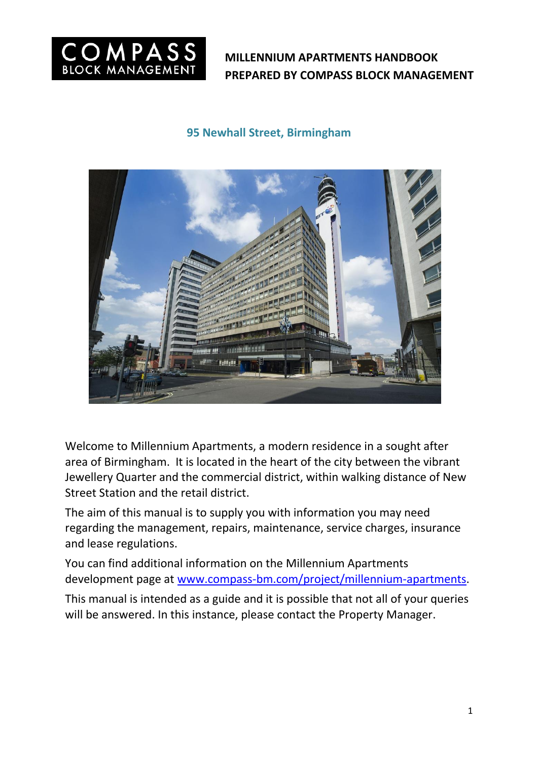

## **95 Newhall Street, Birmingham**



Welcome to Millennium Apartments, a modern residence in a sought after area of Birmingham. It is located in the heart of the city between the vibrant Jewellery Quarter and the commercial district, within walking distance of New Street Station and the retail district.

The aim of this manual is to supply you with information you may need regarding the management, repairs, maintenance, service charges, insurance and lease regulations.

You can find additional information on the Millennium Apartments development page at [www.compass-bm.com/project/millennium-apartments.](http://www.compass-bm.com/project/millennium-apartments)

This manual is intended as a guide and it is possible that not all of your queries will be answered. In this instance, please contact the Property Manager.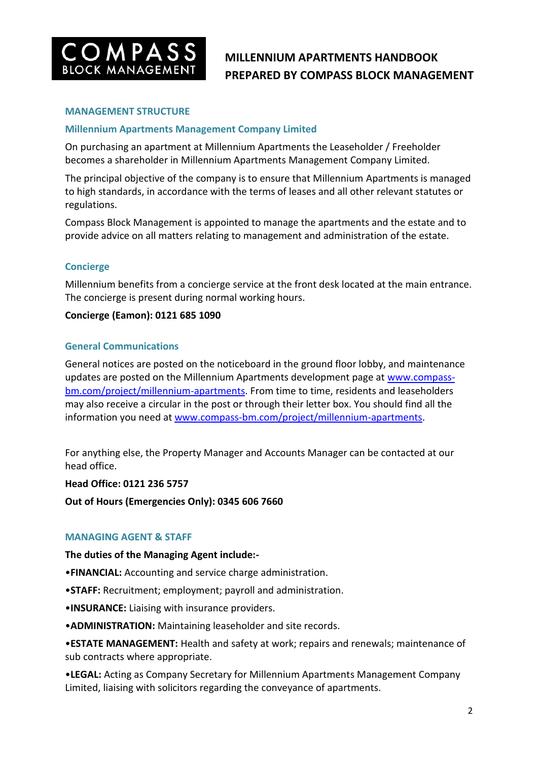

### **MANAGEMENT STRUCTURE**

## **Millennium Apartments Management Company Limited**

On purchasing an apartment at Millennium Apartments the Leaseholder / Freeholder becomes a shareholder in Millennium Apartments Management Company Limited.

The principal objective of the company is to ensure that Millennium Apartments is managed to high standards, in accordance with the terms of leases and all other relevant statutes or regulations.

Compass Block Management is appointed to manage the apartments and the estate and to provide advice on all matters relating to management and administration of the estate.

### **Concierge**

Millennium benefits from a concierge service at the front desk located at the main entrance. The concierge is present during normal working hours.

## **Concierge (Eamon): 0121 685 1090**

### **General Communications**

General notices are posted on the noticeboard in the ground floor lobby, and maintenance updates are posted on the Millennium Apartments development page at [www.compass](http://www.compass-bm.com/project/millennium-apartments)[bm.com/project/millennium-apartments.](http://www.compass-bm.com/project/millennium-apartments) From time to time, residents and leaseholders may also receive a circular in the post or through their letter box. You should find all the information you need at [www.compass-bm.com/project/millennium-apartments.](http://www.compass-bm.com/project/millennium-apartments)

For anything else, the Property Manager and Accounts Manager can be contacted at our head office.

**Head Office: 0121 236 5757**

**Out of Hours (Emergencies Only): 0345 606 7660**

### **MANAGING AGENT & STAFF**

**The duties of the Managing Agent include:-**

- •**FINANCIAL:** Accounting and service charge administration.
- •**STAFF:** Recruitment; employment; payroll and administration.
- •**INSURANCE:** Liaising with insurance providers.

•**ADMINISTRATION:** Maintaining leaseholder and site records.

•**ESTATE MANAGEMENT:** Health and safety at work; repairs and renewals; maintenance of sub contracts where appropriate.

•**LEGAL:** Acting as Company Secretary for Millennium Apartments Management Company Limited, liaising with solicitors regarding the conveyance of apartments.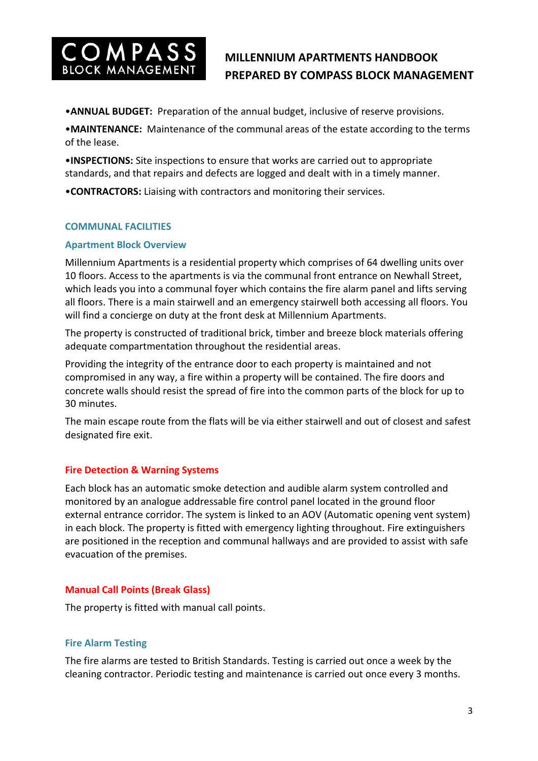

•**ANNUAL BUDGET:** Preparation of the annual budget, inclusive of reserve provisions.

•**MAINTENANCE:** Maintenance of the communal areas of the estate according to the terms of the lease.

•**INSPECTIONS:** Site inspections to ensure that works are carried out to appropriate standards, and that repairs and defects are logged and dealt with in a timely manner.

•**CONTRACTORS:** Liaising with contractors and monitoring their services.

### **COMMUNAL FACILITIES**

#### **Apartment Block Overview**

Millennium Apartments is a residential property which comprises of 64 dwelling units over 10 floors. Access to the apartments is via the communal front entrance on Newhall Street, which leads you into a communal foyer which contains the fire alarm panel and lifts serving all floors. There is a main stairwell and an emergency stairwell both accessing all floors. You will find a concierge on duty at the front desk at Millennium Apartments.

The property is constructed of traditional brick, timber and breeze block materials offering adequate compartmentation throughout the residential areas.

Providing the integrity of the entrance door to each property is maintained and not compromised in any way, a fire within a property will be contained. The fire doors and concrete walls should resist the spread of fire into the common parts of the block for up to 30 minutes.

The main escape route from the flats will be via either stairwell and out of closest and safest designated fire exit.

### **Fire Detection & Warning Systems**

Each block has an automatic smoke detection and audible alarm system controlled and monitored by an analogue addressable fire control panel located in the ground floor external entrance corridor. The system is linked to an AOV (Automatic opening vent system) in each block. The property is fitted with emergency lighting throughout. Fire extinguishers are positioned in the reception and communal hallways and are provided to assist with safe evacuation of the premises.

### **Manual Call Points (Break Glass)**

The property is fitted with manual call points.

### **Fire Alarm Testing**

The fire alarms are tested to British Standards. Testing is carried out once a week by the cleaning contractor. Periodic testing and maintenance is carried out once every 3 months.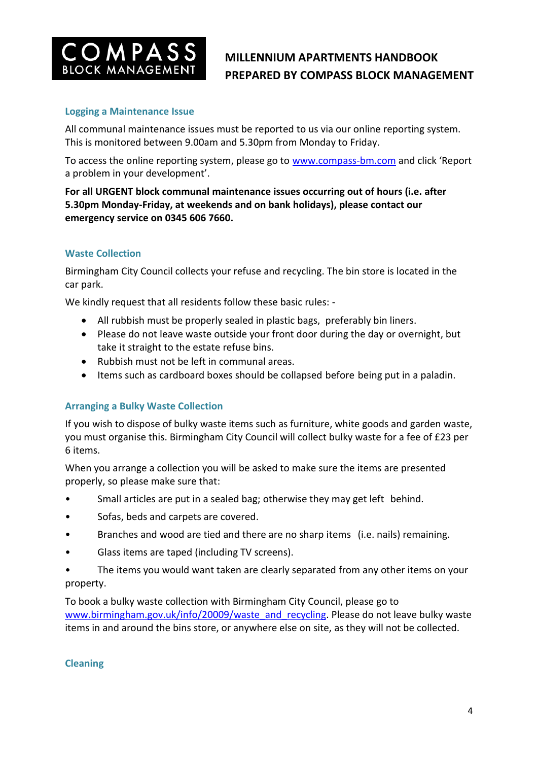

## **Logging a Maintenance Issue**

All communal maintenance issues must be reported to us via our online reporting system. This is monitored between 9.00am and 5.30pm from Monday to Friday.

To access the online reporting system, please go to [www.compass-bm.com](http://www.compass-bm.com/) and click 'Report a problem in your development'.

**For all URGENT block communal maintenance issues occurring out of hours (i.e. after 5.30pm Monday-Friday, at weekends and on bank holidays), please contact our emergency service on 0345 606 7660.**

### **Waste Collection**

Birmingham City Council collects your refuse and recycling. The bin store is located in the car park.

We kindly request that all residents follow these basic rules: -

- All rubbish must be properly sealed in plastic bags, preferably bin liners.
- Please do not leave waste outside your front door during the day or overnight, but take it straight to the estate refuse bins.
- Rubbish must not be left in communal areas.
- Items such as cardboard boxes should be collapsed before being put in a paladin.

### **Arranging a Bulky Waste Collection**

If you wish to dispose of bulky waste items such as furniture, white goods and garden waste, you must organise this. Birmingham City Council will collect bulky waste for a fee of £23 per 6 items.

When you arrange a collection you will be asked to make sure the items are presented properly, so please make sure that:

- Small articles are put in a sealed bag; otherwise they may get left behind.
- Sofas, beds and carpets are covered.
- Branches and wood are tied and there are no sharp items (i.e. nails) remaining.
- Glass items are taped (including TV screens).
- The items you would want taken are clearly separated from any other items on your property.

To book a bulky waste collection with Birmingham City Council, please go to [www.birmingham.gov.uk/info/20009/waste\\_and\\_recycling.](http://www.birmingham.gov.uk/info/20009/waste_and_recycling) Please do not leave bulky waste items in and around the bins store, or anywhere else on site, as they will not be collected.

### **Cleaning**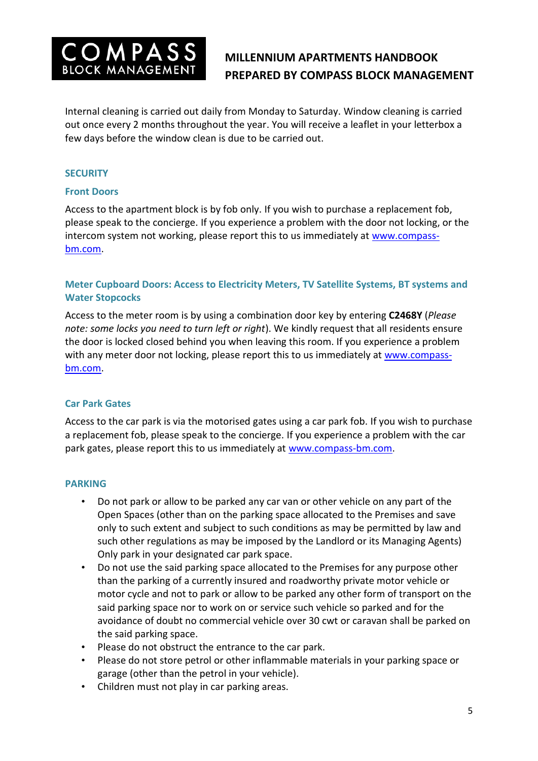

Internal cleaning is carried out daily from Monday to Saturday. Window cleaning is carried out once every 2 months throughout the year. You will receive a leaflet in your letterbox a few days before the window clean is due to be carried out.

## **SECURITY**

### **Front Doors**

Access to the apartment block is by fob only. If you wish to purchase a replacement fob, please speak to the concierge. If you experience a problem with the door not locking, or the intercom system not working, please report this to us immediately at [www.compass](http://www.compass-bm.com/)[bm.com.](http://www.compass-bm.com/)

## **Meter Cupboard Doors: Access to Electricity Meters, TV Satellite Systems, BT systems and Water Stopcocks**

Access to the meter room is by using a combination door key by entering **C2468Y** (*Please note: some locks you need to turn left or right*). We kindly request that all residents ensure the door is locked closed behind you when leaving this room. If you experience a problem with any meter door not locking, please report this to us immediately at [www.compass](http://www.compass-bm.com/)[bm.com.](http://www.compass-bm.com/)

### **Car Park Gates**

Access to the car park is via the motorised gates using a car park fob. If you wish to purchase a replacement fob, please speak to the concierge. If you experience a problem with the car park gates, please report this to us immediately at [www.compass-bm.com.](http://www.compass-bm.com/)

### **PARKING**

- Do not park or allow to be parked any car van or other vehicle on any part of the Open Spaces (other than on the parking space allocated to the Premises and save only to such extent and subject to such conditions as may be permitted by law and such other regulations as may be imposed by the Landlord or its Managing Agents) Only park in your designated car park space.
- Do not use the said parking space allocated to the Premises for any purpose other than the parking of a currently insured and roadworthy private motor vehicle or motor cycle and not to park or allow to be parked any other form of transport on the said parking space nor to work on or service such vehicle so parked and for the avoidance of doubt no commercial vehicle over 30 cwt or caravan shall be parked on the said parking space.
- Please do not obstruct the entrance to the car park.
- Please do not store petrol or other inflammable materials in your parking space or garage (other than the petrol in your vehicle).
- Children must not play in car parking areas.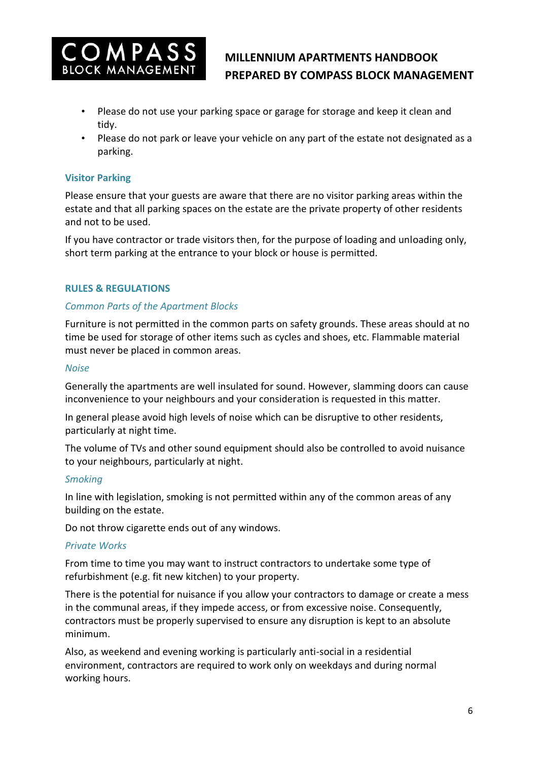

- Please do not use your parking space or garage for storage and keep it clean and tidy.
- Please do not park or leave your vehicle on any part of the estate not designated as a parking.

## **Visitor Parking**

Please ensure that your guests are aware that there are no visitor parking areas within the estate and that all parking spaces on the estate are the private property of other residents and not to be used.

If you have contractor or trade visitors then, for the purpose of loading and unloading only, short term parking at the entrance to your block or house is permitted.

## **RULES & REGULATIONS**

## *Common Parts of the Apartment Blocks*

Furniture is not permitted in the common parts on safety grounds. These areas should at no time be used for storage of other items such as cycles and shoes, etc. Flammable material must never be placed in common areas.

#### *Noise*

Generally the apartments are well insulated for sound. However, slamming doors can cause inconvenience to your neighbours and your consideration is requested in this matter.

In general please avoid high levels of noise which can be disruptive to other residents, particularly at night time.

The volume of TVs and other sound equipment should also be controlled to avoid nuisance to your neighbours, particularly at night.

### *Smoking*

In line with legislation, smoking is not permitted within any of the common areas of any building on the estate.

Do not throw cigarette ends out of any windows.

### *Private Works*

From time to time you may want to instruct contractors to undertake some type of refurbishment (e.g. fit new kitchen) to your property.

There is the potential for nuisance if you allow your contractors to damage or create a mess in the communal areas, if they impede access, or from excessive noise. Consequently, contractors must be properly supervised to ensure any disruption is kept to an absolute minimum.

Also, as weekend and evening working is particularly anti-social in a residential environment, contractors are required to work only on weekdays and during normal working hours.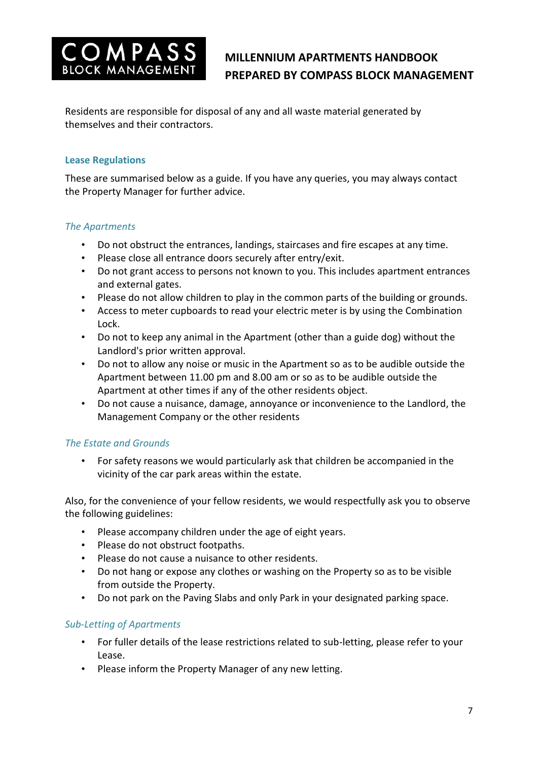

Residents are responsible for disposal of any and all waste material generated by themselves and their contractors.

## **Lease Regulations**

These are summarised below as a guide. If you have any queries, you may always contact the Property Manager for further advice.

## *The Apartments*

- Do not obstruct the entrances, landings, staircases and fire escapes at any time.
- Please close all entrance doors securely after entry/exit.
- Do not grant access to persons not known to you. This includes apartment entrances and external gates.
- Please do not allow children to play in the common parts of the building or grounds.
- Access to meter cupboards to read your electric meter is by using the Combination Lock.
- Do not to keep any animal in the Apartment (other than a guide dog) without the Landlord's prior written approval.
- Do not to allow any noise or music in the Apartment so as to be audible outside the Apartment between 11.00 pm and 8.00 am or so as to be audible outside the Apartment at other times if any of the other residents object.
- Do not cause a nuisance, damage, annoyance or inconvenience to the Landlord, the Management Company or the other residents

## *The Estate and Grounds*

• For safety reasons we would particularly ask that children be accompanied in the vicinity of the car park areas within the estate.

Also, for the convenience of your fellow residents, we would respectfully ask you to observe the following guidelines:

- Please accompany children under the age of eight years.
- Please do not obstruct footpaths.
- Please do not cause a nuisance to other residents.
- Do not hang or expose any clothes or washing on the Property so as to be visible from outside the Property.
- Do not park on the Paving Slabs and only Park in your designated parking space.

## *Sub-Letting of Apartments*

- For fuller details of the lease restrictions related to sub-letting, please refer to your Lease.
- Please inform the Property Manager of any new letting.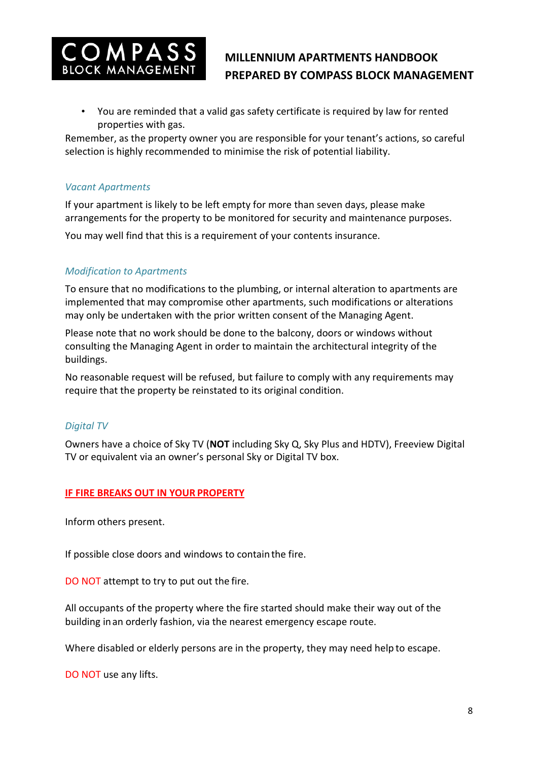

• You are reminded that a valid gas safety certificate is required by law for rented properties with gas.

Remember, as the property owner you are responsible for your tenant's actions, so careful selection is highly recommended to minimise the risk of potential liability.

## *Vacant Apartments*

If your apartment is likely to be left empty for more than seven days, please make arrangements for the property to be monitored for security and maintenance purposes.

You may well find that this is a requirement of your contents insurance.

## *Modification to Apartments*

To ensure that no modifications to the plumbing, or internal alteration to apartments are implemented that may compromise other apartments, such modifications or alterations may only be undertaken with the prior written consent of the Managing Agent.

Please note that no work should be done to the balcony, doors or windows without consulting the Managing Agent in order to maintain the architectural integrity of the buildings.

No reasonable request will be refused, but failure to comply with any requirements may require that the property be reinstated to its original condition.

## *Digital TV*

Owners have a choice of Sky TV (**NOT** including Sky Q, Sky Plus and HDTV), Freeview Digital TV or equivalent via an owner's personal Sky or Digital TV box.

## **IF FIRE BREAKS OUT IN YOUR PROPERTY**

Inform others present.

If possible close doors and windows to containthe fire.

DO NOT attempt to try to put out the fire.

All occupants of the property where the fire started should make their way out of the building inan orderly fashion, via the nearest emergency escape route.

Where disabled or elderly persons are in the property, they may need help to escape.

DO NOT use any lifts.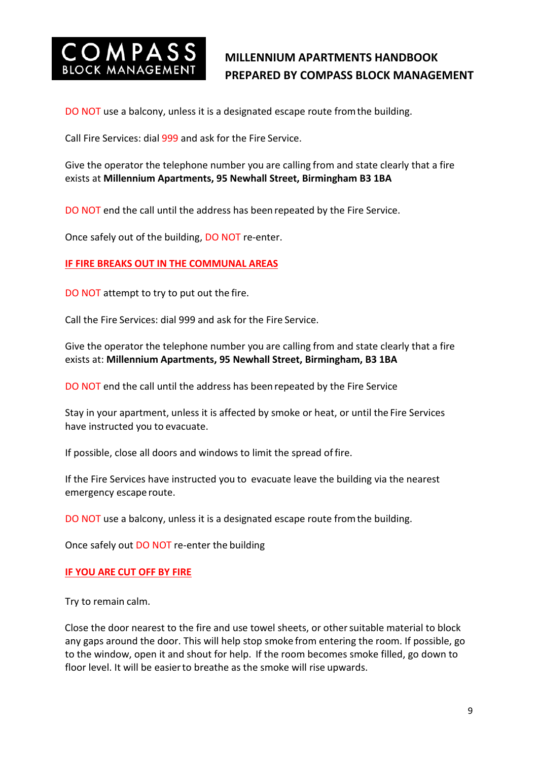

DO NOT use a balcony, unless it is a designated escape route fromthe building.

Call Fire Services: dial 999 and ask for the Fire Service.

Give the operator the telephone number you are calling from and state clearly that a fire exists at **Millennium Apartments, 95 Newhall Street, Birmingham B3 1BA**

DO NOT end the call until the address has been repeated by the Fire Service.

Once safely out of the building, DO NOT re-enter.

#### **IF FIRE BREAKS OUT IN THE COMMUNAL AREAS**

DO NOT attempt to try to put out the fire.

Call the Fire Services: dial 999 and ask for the Fire Service.

Give the operator the telephone number you are calling from and state clearly that a fire exists at: **Millennium Apartments, 95 Newhall Street, Birmingham, B3 1BA**

DO NOT end the call until the address has been repeated by the Fire Service

Stay in your apartment, unless it is affected by smoke or heat, or until the Fire Services have instructed you to evacuate.

If possible, close all doors and windows to limit the spread of fire.

If the Fire Services have instructed you to evacuate leave the building via the nearest emergency escape route.

DO NOT use a balcony, unless it is a designated escape route fromthe building.

Once safely out DO NOT re-enter the building

#### **IF YOU ARE CUT OFF BY FIRE**

Try to remain calm.

Close the door nearest to the fire and use towel sheets, or othersuitable material to block any gaps around the door. This will help stop smoke from entering the room. If possible, go to the window, open it and shout for help. If the room becomes smoke filled, go down to floor level. It will be easierto breathe as the smoke will rise upwards.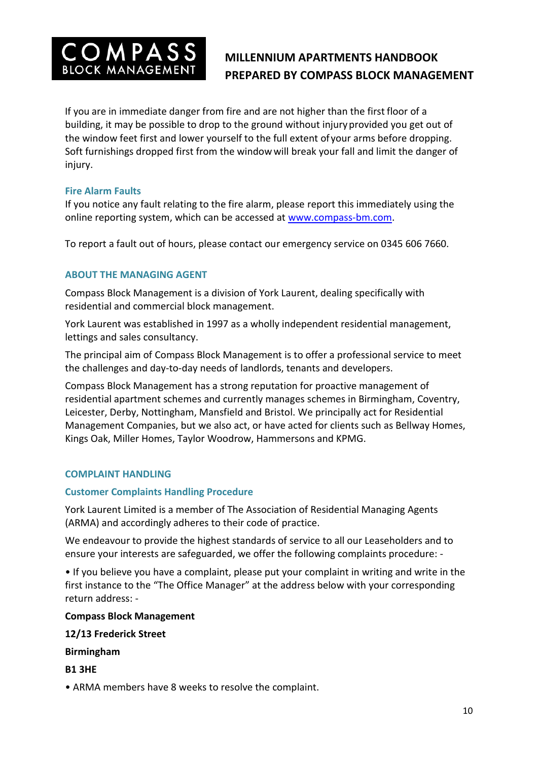

If you are in immediate danger from fire and are not higher than the first floor of a building, it may be possible to drop to the ground without injuryprovided you get out of the window feet first and lower yourself to the full extent ofyour arms before dropping. Soft furnishings dropped first from the window will break your fall and limit the danger of injury.

## **Fire Alarm Faults**

If you notice any fault relating to the fire alarm, please report this immediately using the online reporting system, which can be accessed at [www.compass-bm.com.](http://www.compass-bm.com/)

To report a fault out of hours, please contact our emergency service on 0345 606 7660.

## **ABOUT THE MANAGING AGENT**

Compass Block Management is a division of York Laurent, dealing specifically with residential and commercial block management.

York Laurent was established in 1997 as a wholly independent residential management, lettings and sales consultancy.

The principal aim of Compass Block Management is to offer a professional service to meet the challenges and day-to-day needs of landlords, tenants and developers.

Compass Block Management has a strong reputation for proactive management of residential apartment schemes and currently manages schemes in Birmingham, Coventry, Leicester, Derby, Nottingham, Mansfield and Bristol. We principally act for Residential Management Companies, but we also act, or have acted for clients such as Bellway Homes, Kings Oak, Miller Homes, Taylor Woodrow, Hammersons and KPMG.

### **COMPLAINT HANDLING**

### **Customer Complaints Handling Procedure**

York Laurent Limited is a member of The Association of Residential Managing Agents (ARMA) and accordingly adheres to their code of practice.

We endeavour to provide the highest standards of service to all our Leaseholders and to ensure your interests are safeguarded, we offer the following complaints procedure: -

• If you believe you have a complaint, please put your complaint in writing and write in the first instance to the "The Office Manager" at the address below with your corresponding return address: -

### **Compass Block Management**

### **12/13 Frederick Street**

**Birmingham**

**B1 3HE**

• ARMA members have 8 weeks to resolve the complaint.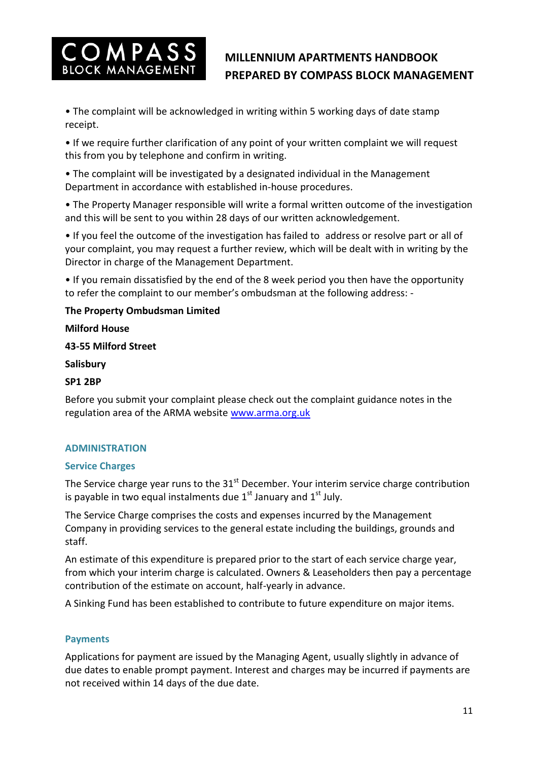

• The complaint will be acknowledged in writing within 5 working days of date stamp receipt.

• If we require further clarification of any point of your written complaint we will request this from you by telephone and confirm in writing.

• The complaint will be investigated by a designated individual in the Management Department in accordance with established in-house procedures.

• The Property Manager responsible will write a formal written outcome of the investigation and this will be sent to you within 28 days of our written acknowledgement.

• If you feel the outcome of the investigation has failed to address or resolve part or all of your complaint, you may request a further review, which will be dealt with in writing by the Director in charge of the Management Department.

• If you remain dissatisfied by the end of the 8 week period you then have the opportunity to refer the complaint to our member's ombudsman at the following address: -

## **The Property Ombudsman Limited**

## **Milford House**

## **43-55 Milford Street**

### **Salisbury**

## **SP1 2BP**

Before you submit your complaint please check out the complaint guidance notes in the regulation area of the ARMA website [www.arma.org.uk](http://www.arma.org.uk/)

## **ADMINISTRATION**

### **Service Charges**

The Service charge year runs to the 31<sup>st</sup> December. Your interim service charge contribution is payable in two equal instalments due  $1<sup>st</sup>$  January and  $1<sup>st</sup>$  July.

The Service Charge comprises the costs and expenses incurred by the Management Company in providing services to the general estate including the buildings, grounds and staff.

An estimate of this expenditure is prepared prior to the start of each service charge year, from which your interim charge is calculated. Owners & Leaseholders then pay a percentage contribution of the estimate on account, half-yearly in advance.

A Sinking Fund has been established to contribute to future expenditure on major items.

## **Payments**

Applications for payment are issued by the Managing Agent, usually slightly in advance of due dates to enable prompt payment. Interest and charges may be incurred if payments are not received within 14 days of the due date.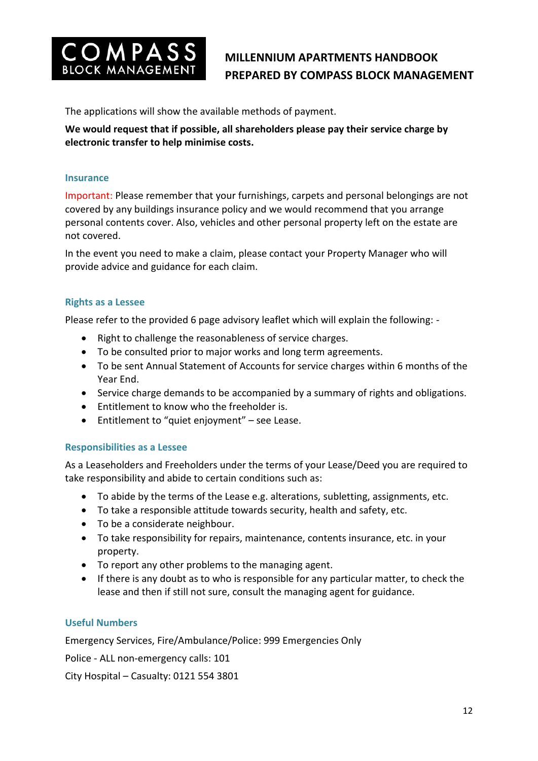

The applications will show the available methods of payment.

**We would request that if possible, all shareholders please pay their service charge by electronic transfer to help minimise costs.**

#### **Insurance**

Important: Please remember that your furnishings, carpets and personal belongings are not covered by any buildings insurance policy and we would recommend that you arrange personal contents cover. Also, vehicles and other personal property left on the estate are not covered.

In the event you need to make a claim, please contact your Property Manager who will provide advice and guidance for each claim.

#### **Rights as a Lessee**

Please refer to the provided 6 page advisory leaflet which will explain the following: -

- Right to challenge the reasonableness of service charges.
- To be consulted prior to major works and long term agreements.
- To be sent Annual Statement of Accounts for service charges within 6 months of the Year End.
- Service charge demands to be accompanied by a summary of rights and obligations.
- Entitlement to know who the freeholder is.
- Entitlement to "quiet enjoyment" see Lease.

#### **Responsibilities as a Lessee**

As a Leaseholders and Freeholders under the terms of your Lease/Deed you are required to take responsibility and abide to certain conditions such as:

- To abide by the terms of the Lease e.g. alterations, subletting, assignments, etc.
- To take a responsible attitude towards security, health and safety, etc.
- To be a considerate neighbour.
- To take responsibility for repairs, maintenance, contents insurance, etc. in your property.
- To report any other problems to the managing agent.
- If there is any doubt as to who is responsible for any particular matter, to check the lease and then if still not sure, consult the managing agent for guidance.

#### **Useful Numbers**

Emergency Services, Fire/Ambulance/Police: 999 Emergencies Only

Police - ALL non-emergency calls: 101

City Hospital – Casualty: 0121 554 3801